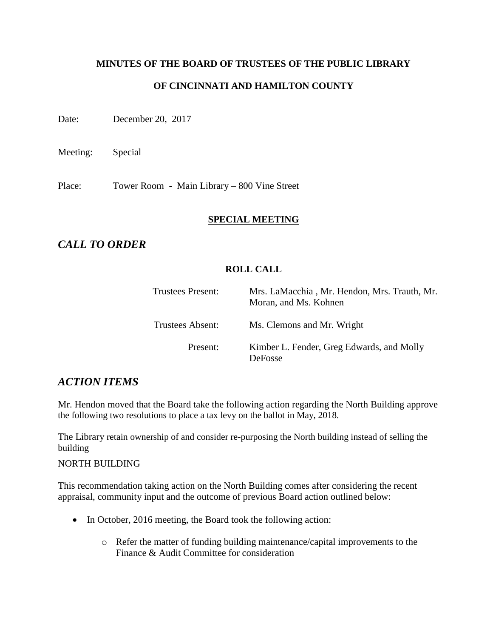# **MINUTES OF THE BOARD OF TRUSTEES OF THE PUBLIC LIBRARY OF CINCINNATI AND HAMILTON COUNTY**

Date: December 20, 2017

Meeting: Special

Place: Tower Room - Main Library – 800 Vine Street

#### **SPECIAL MEETING**

# *CALL TO ORDER*

#### **ROLL CALL**

| Trustees Present: | Mrs. LaMacchia, Mr. Hendon, Mrs. Trauth, Mr.<br>Moran, and Ms. Kohnen |
|-------------------|-----------------------------------------------------------------------|
| Trustees Absent:  | Ms. Clemons and Mr. Wright                                            |
| Present:          | Kimber L. Fender, Greg Edwards, and Molly<br><b>DeFosse</b>           |

# *ACTION ITEMS*

Mr. Hendon moved that the Board take the following action regarding the North Building approve the following two resolutions to place a tax levy on the ballot in May, 2018.

The Library retain ownership of and consider re-purposing the North building instead of selling the building

#### NORTH BUILDING

This recommendation taking action on the North Building comes after considering the recent appraisal, community input and the outcome of previous Board action outlined below:

- In October, 2016 meeting, the Board took the following action:
	- o Refer the matter of funding building maintenance/capital improvements to the Finance & Audit Committee for consideration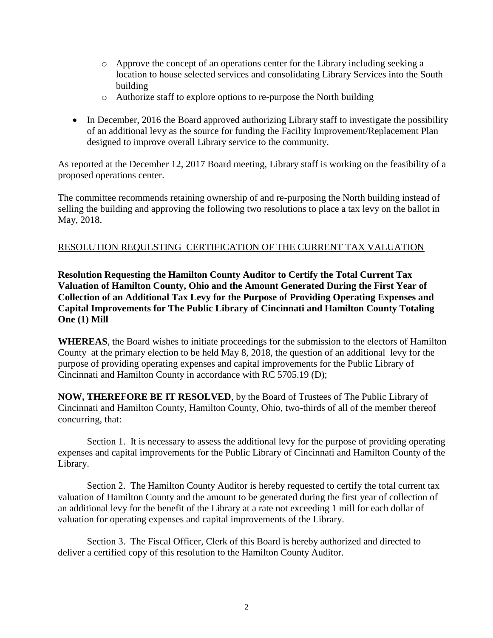- o Approve the concept of an operations center for the Library including seeking a location to house selected services and consolidating Library Services into the South building
- o Authorize staff to explore options to re-purpose the North building
- In December, 2016 the Board approved authorizing Library staff to investigate the possibility of an additional levy as the source for funding the Facility Improvement/Replacement Plan designed to improve overall Library service to the community.

As reported at the December 12, 2017 Board meeting, Library staff is working on the feasibility of a proposed operations center.

The committee recommends retaining ownership of and re-purposing the North building instead of selling the building and approving the following two resolutions to place a tax levy on the ballot in May, 2018.

#### RESOLUTION REQUESTING CERTIFICATION OF THE CURRENT TAX VALUATION

**Resolution Requesting the Hamilton County Auditor to Certify the Total Current Tax Valuation of Hamilton County, Ohio and the Amount Generated During the First Year of Collection of an Additional Tax Levy for the Purpose of Providing Operating Expenses and Capital Improvements for The Public Library of Cincinnati and Hamilton County Totaling One (1) Mill**

**WHEREAS**, the Board wishes to initiate proceedings for the submission to the electors of Hamilton County at the primary election to be held May 8, 2018, the question of an additional levy for the purpose of providing operating expenses and capital improvements for the Public Library of Cincinnati and Hamilton County in accordance with RC 5705.19 (D);

**NOW, THEREFORE BE IT RESOLVED**, by the Board of Trustees of The Public Library of Cincinnati and Hamilton County, Hamilton County, Ohio, two-thirds of all of the member thereof concurring, that:

Section 1. It is necessary to assess the additional levy for the purpose of providing operating expenses and capital improvements for the Public Library of Cincinnati and Hamilton County of the Library.

Section 2. The Hamilton County Auditor is hereby requested to certify the total current tax valuation of Hamilton County and the amount to be generated during the first year of collection of an additional levy for the benefit of the Library at a rate not exceeding 1 mill for each dollar of valuation for operating expenses and capital improvements of the Library.

Section 3. The Fiscal Officer, Clerk of this Board is hereby authorized and directed to deliver a certified copy of this resolution to the Hamilton County Auditor.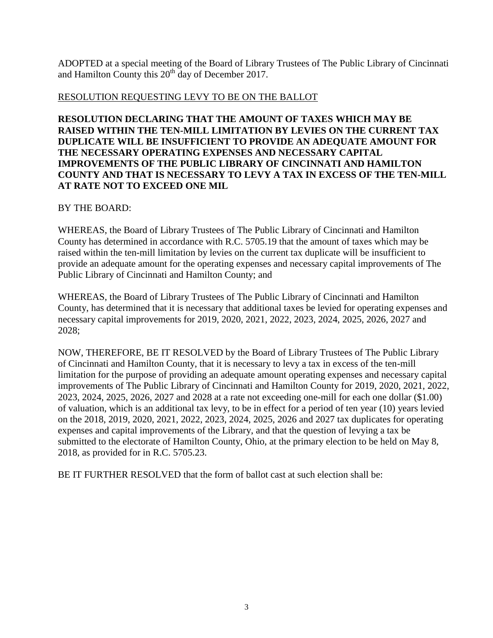ADOPTED at a special meeting of the Board of Library Trustees of The Public Library of Cincinnati and Hamilton County this  $20<sup>th</sup>$  day of December 2017.

## RESOLUTION REQUESTING LEVY TO BE ON THE BALLOT

**RESOLUTION DECLARING THAT THE AMOUNT OF TAXES WHICH MAY BE RAISED WITHIN THE TEN-MILL LIMITATION BY LEVIES ON THE CURRENT TAX DUPLICATE WILL BE INSUFFICIENT TO PROVIDE AN ADEQUATE AMOUNT FOR THE NECESSARY OPERATING EXPENSES AND NECESSARY CAPITAL IMPROVEMENTS OF THE PUBLIC LIBRARY OF CINCINNATI AND HAMILTON COUNTY AND THAT IS NECESSARY TO LEVY A TAX IN EXCESS OF THE TEN-MILL AT RATE NOT TO EXCEED ONE MIL**

## BY THE BOARD:

WHEREAS, the Board of Library Trustees of The Public Library of Cincinnati and Hamilton County has determined in accordance with R.C. 5705.19 that the amount of taxes which may be raised within the ten-mill limitation by levies on the current tax duplicate will be insufficient to provide an adequate amount for the operating expenses and necessary capital improvements of The Public Library of Cincinnati and Hamilton County; and

WHEREAS, the Board of Library Trustees of The Public Library of Cincinnati and Hamilton County, has determined that it is necessary that additional taxes be levied for operating expenses and necessary capital improvements for 2019, 2020, 2021, 2022, 2023, 2024, 2025, 2026, 2027 and 2028;

NOW, THEREFORE, BE IT RESOLVED by the Board of Library Trustees of The Public Library of Cincinnati and Hamilton County, that it is necessary to levy a tax in excess of the ten-mill limitation for the purpose of providing an adequate amount operating expenses and necessary capital improvements of The Public Library of Cincinnati and Hamilton County for 2019, 2020, 2021, 2022, 2023, 2024, 2025, 2026, 2027 and 2028 at a rate not exceeding one-mill for each one dollar (\$1.00) of valuation, which is an additional tax levy, to be in effect for a period of ten year (10) years levied on the 2018, 2019, 2020, 2021, 2022, 2023, 2024, 2025, 2026 and 2027 tax duplicates for operating expenses and capital improvements of the Library, and that the question of levying a tax be submitted to the electorate of Hamilton County, Ohio, at the primary election to be held on May 8, 2018, as provided for in R.C. 5705.23.

BE IT FURTHER RESOLVED that the form of ballot cast at such election shall be: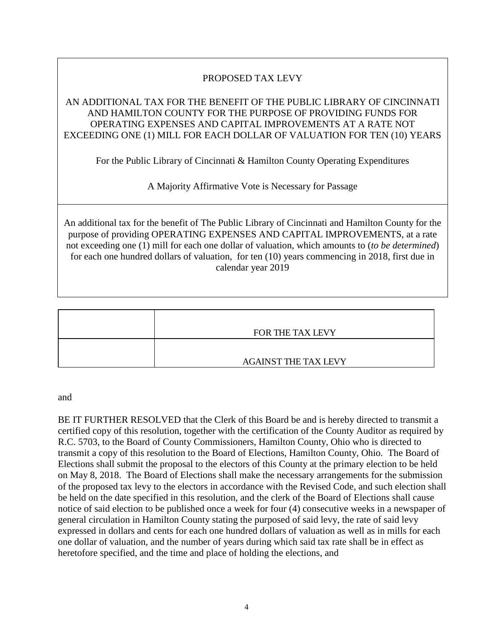# PROPOSED TAX LEVY

## AN ADDITIONAL TAX FOR THE BENEFIT OF THE PUBLIC LIBRARY OF CINCINNATI AND HAMILTON COUNTY FOR THE PURPOSE OF PROVIDING FUNDS FOR OPERATING EXPENSES AND CAPITAL IMPROVEMENTS AT A RATE NOT EXCEEDING ONE (1) MILL FOR EACH DOLLAR OF VALUATION FOR TEN (10) YEARS

For the Public Library of Cincinnati & Hamilton County Operating Expenditures

A Majority Affirmative Vote is Necessary for Passage

An additional tax for the benefit of The Public Library of Cincinnati and Hamilton County for the purpose of providing OPERATING EXPENSES AND CAPITAL IMPROVEMENTS, at a rate not exceeding one (1) mill for each one dollar of valuation, which amounts to (*to be determined*) for each one hundred dollars of valuation, for ten (10) years commencing in 2018, first due in calendar year 2019

| FOR THE TAX LEVY            |
|-----------------------------|
|                             |
| <b>AGAINST THE TAX LEVY</b> |

and

BE IT FURTHER RESOLVED that the Clerk of this Board be and is hereby directed to transmit a certified copy of this resolution, together with the certification of the County Auditor as required by R.C. 5703, to the Board of County Commissioners, Hamilton County, Ohio who is directed to transmit a copy of this resolution to the Board of Elections, Hamilton County, Ohio. The Board of Elections shall submit the proposal to the electors of this County at the primary election to be held on May 8, 2018. The Board of Elections shall make the necessary arrangements for the submission of the proposed tax levy to the electors in accordance with the Revised Code, and such election shall be held on the date specified in this resolution, and the clerk of the Board of Elections shall cause notice of said election to be published once a week for four (4) consecutive weeks in a newspaper of general circulation in Hamilton County stating the purposed of said levy, the rate of said levy expressed in dollars and cents for each one hundred dollars of valuation as well as in mills for each one dollar of valuation, and the number of years during which said tax rate shall be in effect as heretofore specified, and the time and place of holding the elections, and